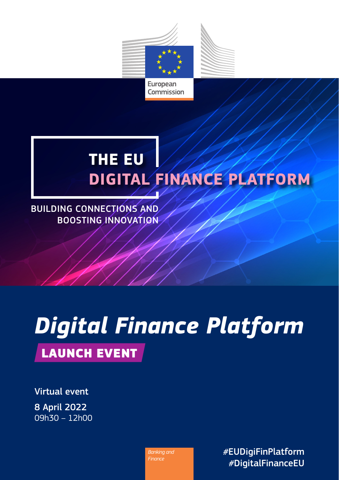

## **THE EU DIGITAL FINANCE PLATFORM**

BUILDING CONNECTIONS AND BOOSTING INNOVATION

## *Digital Finance Platform* LAUNCH EVENT

Virtual event 8 April 2022 09h30 – 12h00

> *Banking and Finance*

*#*EUDigiFinPlatform *#*DigitalFinanceEU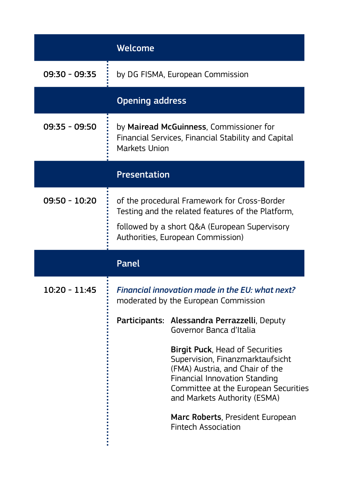|                        | Welcome                                                                                                                                                                                 |                                                                                                                                                                                                                                                                                   |
|------------------------|-----------------------------------------------------------------------------------------------------------------------------------------------------------------------------------------|-----------------------------------------------------------------------------------------------------------------------------------------------------------------------------------------------------------------------------------------------------------------------------------|
| $09:30 - 09:35$        | by DG FISMA, European Commission                                                                                                                                                        |                                                                                                                                                                                                                                                                                   |
| <b>Opening address</b> |                                                                                                                                                                                         |                                                                                                                                                                                                                                                                                   |
| 09:35 - 09:50          | by Mairead McGuinness, Commissioner for<br>Financial Services, Financial Stability and Capital<br><b>Markets Union</b>                                                                  |                                                                                                                                                                                                                                                                                   |
|                        | <b>Presentation</b>                                                                                                                                                                     |                                                                                                                                                                                                                                                                                   |
| 09:50 - 10:20          | of the procedural Framework for Cross-Border<br>Testing and the related features of the Platform,<br>followed by a short Q&A (European Supervisory<br>Authorities, European Commission) |                                                                                                                                                                                                                                                                                   |
|                        | <b>Panel</b>                                                                                                                                                                            |                                                                                                                                                                                                                                                                                   |
| 10:20 - 11:45          | Financial innovation made in the EU: what next?<br>moderated by the European Commission                                                                                                 |                                                                                                                                                                                                                                                                                   |
|                        | Participants:                                                                                                                                                                           | Alessandra Perrazzelli, Deputy<br>Governor Banca d'Italia                                                                                                                                                                                                                         |
|                        |                                                                                                                                                                                         | Birgit Puck, Head of Securities<br>Supervision, Finanzmarktaufsicht<br>(FMA) Austria, and Chair of the<br>Financial Innovation Standing<br>Committee at the European Securities<br>and Markets Authority (ESMA)<br>Marc Roberts, President European<br><b>Fintech Association</b> |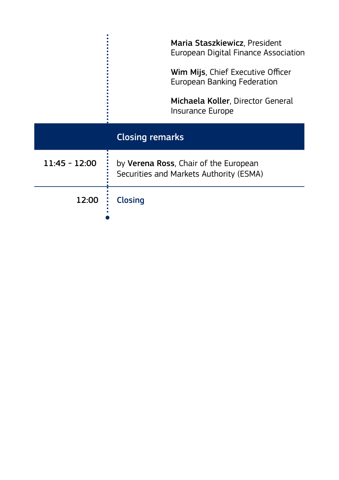|                        | Maria Staszkiewicz, President<br>European Digital Finance Association            |  |
|------------------------|----------------------------------------------------------------------------------|--|
|                        | Wim Mijs, Chief Executive Officer<br>European Banking Federation                 |  |
|                        | Michaela Koller, Director General<br>Insurance Europe                            |  |
| <b>Closing remarks</b> |                                                                                  |  |
| $11:45 - 12:00$        | by Verena Ross, Chair of the European<br>Securities and Markets Authority (ESMA) |  |
| 12:00                  | <b>Closing</b>                                                                   |  |